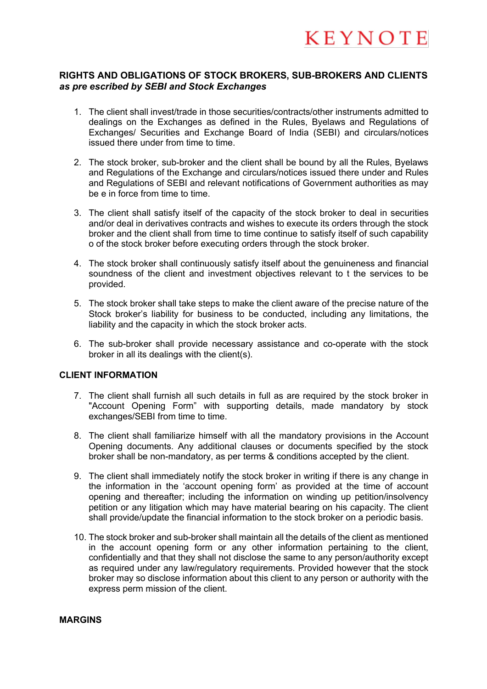#### **RIGHTS AND OBLIGATIONS OF STOCK BROKERS, SUB-BROKERS AND CLIENTS**  *as pre escribed by SEBI and Stock Exchanges*

- 1. The client shall invest/trade in those securities/contracts/other instruments admitted to dealings on the Exchanges as defined in the Rules, Byelaws and Regulations of Exchanges/ Securities and Exchange Board of India (SEBI) and circulars/notices issued there under from time to time.
- 2. The stock broker, sub-broker and the client shall be bound by all the Rules, Byelaws and Regulations of the Exchange and circulars/notices issued there under and Rules and Regulations of SEBI and relevant notifications of Government authorities as may be e in force from time to time.
- 3. The client shall satisfy itself of the capacity of the stock broker to deal in securities and/or deal in derivatives contracts and wishes to execute its orders through the stock broker and the client shall from time to time continue to satisfy itself of such capability o of the stock broker before executing orders through the stock broker.
- 4. The stock broker shall continuously satisfy itself about the genuineness and financial soundness of the client and investment objectives relevant to t the services to be provided.
- 5. The stock broker shall take steps to make the client aware of the precise nature of the Stock broker's liability for business to be conducted, including any limitations, the liability and the capacity in which the stock broker acts.
- 6. The sub-broker shall provide necessary assistance and co-operate with the stock broker in all its dealings with the client(s).

#### **CLIENT INFORMATION**

- 7. The client shall furnish all such details in full as are required by the stock broker in "Account Opening Form" with supporting details, made mandatory by stock exchanges/SEBI from time to time.
- 8. The client shall familiarize himself with all the mandatory provisions in the Account Opening documents. Any additional clauses or documents specified by the stock broker shall be non-mandatory, as per terms & conditions accepted by the client.
- 9. The client shall immediately notify the stock broker in writing if there is any change in the information in the 'account opening form' as provided at the time of account opening and thereafter; including the information on winding up petition/insolvency petition or any litigation which may have material bearing on his capacity. The client shall provide/update the financial information to the stock broker on a periodic basis.
- 10. The stock broker and sub-broker shall maintain all the details of the client as mentioned in the account opening form or any other information pertaining to the client, confidentially and that they shall not disclose the same to any person/authority except as required under any law/regulatory requirements. Provided however that the stock broker may so disclose information about this client to any person or authority with the express perm mission of the client.

#### **MARGINS**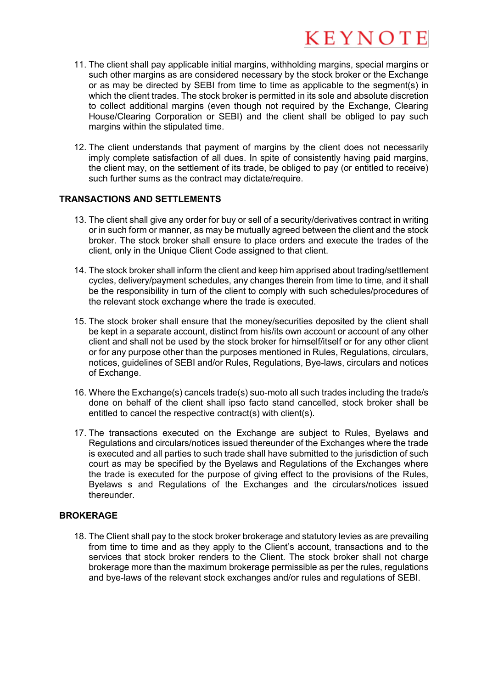- 11. The client shall pay applicable initial margins, withholding margins, special margins or such other margins as are considered necessary by the stock broker or the Exchange or as may be directed by SEBI from time to time as applicable to the segment(s) in which the client trades. The stock broker is permitted in its sole and absolute discretion to collect additional margins (even though not required by the Exchange, Clearing House/Clearing Corporation or SEBI) and the client shall be obliged to pay such margins within the stipulated time.
- 12. The client understands that payment of margins by the client does not necessarily imply complete satisfaction of all dues. In spite of consistently having paid margins, the client may, on the settlement of its trade, be obliged to pay (or entitled to receive) such further sums as the contract may dictate/require.

### **TRANSACTIONS AND SETTLEMENTS**

- 13. The client shall give any order for buy or sell of a security/derivatives contract in writing or in such form or manner, as may be mutually agreed between the client and the stock broker. The stock broker shall ensure to place orders and execute the trades of the client, only in the Unique Client Code assigned to that client.
- 14. The stock broker shall inform the client and keep him apprised about trading/settlement cycles, delivery/payment schedules, any changes therein from time to time, and it shall be the responsibility in turn of the client to comply with such schedules/procedures of the relevant stock exchange where the trade is executed.
- 15. The stock broker shall ensure that the money/securities deposited by the client shall be kept in a separate account, distinct from his/its own account or account of any other client and shall not be used by the stock broker for himself/itself or for any other client or for any purpose other than the purposes mentioned in Rules, Regulations, circulars, notices, guidelines of SEBI and/or Rules, Regulations, Bye-laws, circulars and notices of Exchange.
- 16. Where the Exchange(s) cancels trade(s) suo-moto all such trades including the trade/s done on behalf of the client shall ipso facto stand cancelled, stock broker shall be entitled to cancel the respective contract(s) with client(s).
- 17. The transactions executed on the Exchange are subject to Rules, Byelaws and Regulations and circulars/notices issued thereunder of the Exchanges where the trade is executed and all parties to such trade shall have submitted to the jurisdiction of such court as may be specified by the Byelaws and Regulations of the Exchanges where the trade is executed for the purpose of giving effect to the provisions of the Rules, Byelaws s and Regulations of the Exchanges and the circulars/notices issued thereunder.

### **BROKERAGE**

18. The Client shall pay to the stock broker brokerage and statutory levies as are prevailing from time to time and as they apply to the Client's account, transactions and to the services that stock broker renders to the Client. The stock broker shall not charge brokerage more than the maximum brokerage permissible as per the rules, regulations and bye-laws of the relevant stock exchanges and/or rules and regulations of SEBI.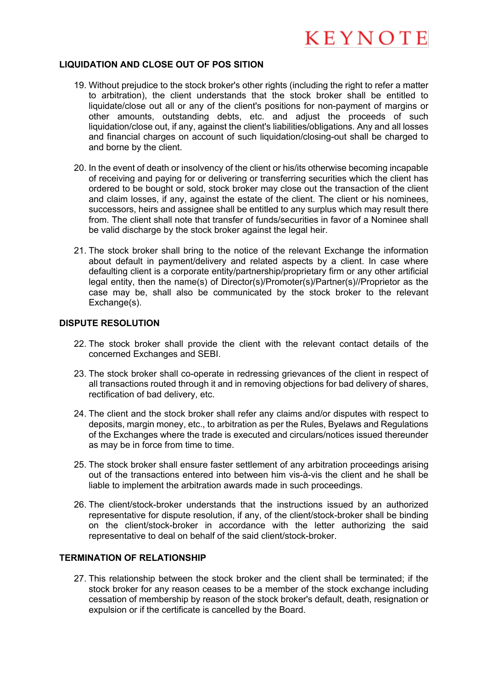#### **LIQUIDATION AND CLOSE OUT OF POS SITION**

- 19. Without prejudice to the stock broker's other rights (including the right to refer a matter to arbitration), the client understands that the stock broker shall be entitled to liquidate/close out all or any of the client's positions for non-payment of margins or other amounts, outstanding debts, etc. and adjust the proceeds of such liquidation/close out, if any, against the client's liabilities/obligations. Any and all losses and financial charges on account of such liquidation/closing-out shall be charged to and borne by the client.
- 20. In the event of death or insolvency of the client or his/its otherwise becoming incapable of receiving and paying for or delivering or transferring securities which the client has ordered to be bought or sold, stock broker may close out the transaction of the client and claim losses, if any, against the estate of the client. The client or his nominees, successors, heirs and assignee shall be entitled to any surplus which may result there from. The client shall note that transfer of funds/securities in favor of a Nominee shall be valid discharge by the stock broker against the legal heir.
- 21. The stock broker shall bring to the notice of the relevant Exchange the information about default in payment/delivery and related aspects by a client. In case where defaulting client is a corporate entity/partnership/proprietary firm or any other artificial legal entity, then the name(s) of Director(s)/Promoter(s)/Partner(s)//Proprietor as the case may be, shall also be communicated by the stock broker to the relevant Exchange(s).

#### **DISPUTE RESOLUTION**

- 22. The stock broker shall provide the client with the relevant contact details of the concerned Exchanges and SEBI.
- 23. The stock broker shall co-operate in redressing grievances of the client in respect of all transactions routed through it and in removing objections for bad delivery of shares, rectification of bad delivery, etc.
- 24. The client and the stock broker shall refer any claims and/or disputes with respect to deposits, margin money, etc., to arbitration as per the Rules, Byelaws and Regulations of the Exchanges where the trade is executed and circulars/notices issued thereunder as may be in force from time to time.
- 25. The stock broker shall ensure faster settlement of any arbitration proceedings arising out of the transactions entered into between him vis-à-vis the client and he shall be liable to implement the arbitration awards made in such proceedings.
- 26. The client/stock-broker understands that the instructions issued by an authorized representative for dispute resolution, if any, of the client/stock-broker shall be binding on the client/stock-broker in accordance with the letter authorizing the said representative to deal on behalf of the said client/stock-broker.

#### **TERMINATION OF RELATIONSHIP**

27. This relationship between the stock broker and the client shall be terminated; if the stock broker for any reason ceases to be a member of the stock exchange including cessation of membership by reason of the stock broker's default, death, resignation or expulsion or if the certificate is cancelled by the Board.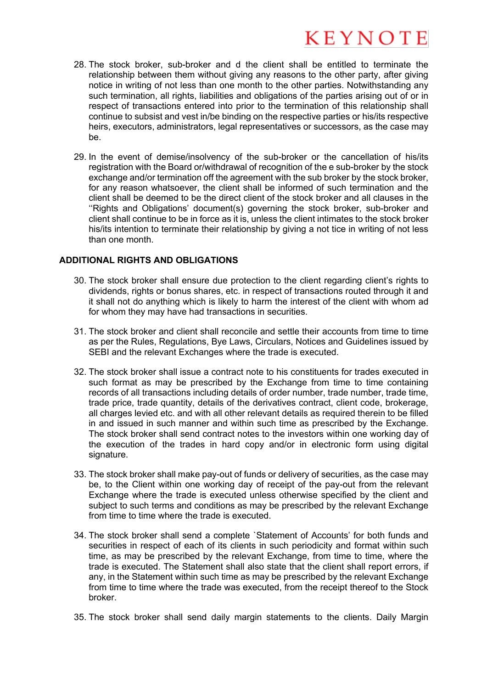- 28. The stock broker, sub-broker and d the client shall be entitled to terminate the relationship between them without giving any reasons to the other party, after giving notice in writing of not less than one month to the other parties. Notwithstanding any such termination, all rights, liabilities and obligations of the parties arising out of or in respect of transactions entered into prior to the termination of this relationship shall continue to subsist and vest in/be binding on the respective parties or his/its respective heirs, executors, administrators, legal representatives or successors, as the case may be.
- 29. In the event of demise/insolvency of the sub-broker or the cancellation of his/its registration with the Board or/withdrawal of recognition of the e sub-broker by the stock exchange and/or termination off the agreement with the sub broker by the stock broker, for any reason whatsoever, the client shall be informed of such termination and the client shall be deemed to be the direct client of the stock broker and all clauses in the ''Rights and Obligations' document(s) governing the stock broker, sub-broker and client shall continue to be in force as it is, unless the client intimates to the stock broker his/its intention to terminate their relationship by giving a not tice in writing of not less than one month.

#### **ADDITIONAL RIGHTS AND OBLIGATIONS**

- 30. The stock broker shall ensure due protection to the client regarding client's rights to dividends, rights or bonus shares, etc. in respect of transactions routed through it and it shall not do anything which is likely to harm the interest of the client with whom ad for whom they may have had transactions in securities.
- 31. The stock broker and client shall reconcile and settle their accounts from time to time as per the Rules, Regulations, Bye Laws, Circulars, Notices and Guidelines issued by SEBI and the relevant Exchanges where the trade is executed.
- 32. The stock broker shall issue a contract note to his constituents for trades executed in such format as may be prescribed by the Exchange from time to time containing records of all transactions including details of order number, trade number, trade time, trade price, trade quantity, details of the derivatives contract, client code, brokerage, all charges levied etc. and with all other relevant details as required therein to be filled in and issued in such manner and within such time as prescribed by the Exchange. The stock broker shall send contract notes to the investors within one working day of the execution of the trades in hard copy and/or in electronic form using digital signature.
- 33. The stock broker shall make pay-out of funds or delivery of securities, as the case may be, to the Client within one working day of receipt of the pay-out from the relevant Exchange where the trade is executed unless otherwise specified by the client and subject to such terms and conditions as may be prescribed by the relevant Exchange from time to time where the trade is executed.
- 34. The stock broker shall send a complete `Statement of Accounts' for both funds and securities in respect of each of its clients in such periodicity and format within such time, as may be prescribed by the relevant Exchange, from time to time, where the trade is executed. The Statement shall also state that the client shall report errors, if any, in the Statement within such time as may be prescribed by the relevant Exchange from time to time where the trade was executed, from the receipt thereof to the Stock broker.
- 35. The stock broker shall send daily margin statements to the clients. Daily Margin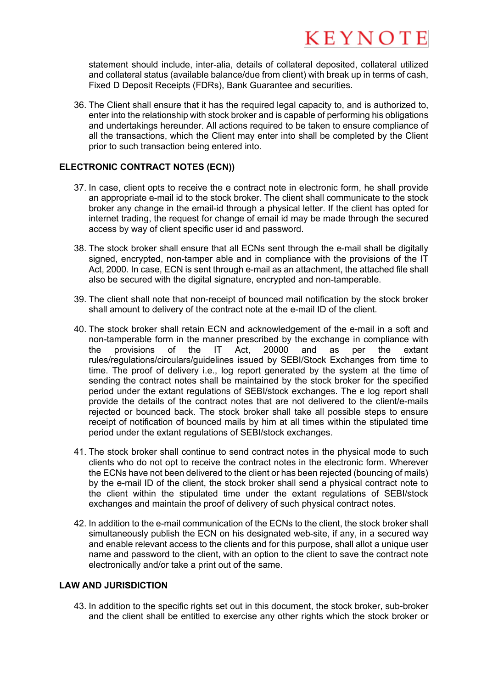statement should include, inter-alia, details of collateral deposited, collateral utilized and collateral status (available balance/due from client) with break up in terms of cash, Fixed D Deposit Receipts (FDRs), Bank Guarantee and securities.

36. The Client shall ensure that it has the required legal capacity to, and is authorized to, enter into the relationship with stock broker and is capable of performing his obligations and undertakings hereunder. All actions required to be taken to ensure compliance of all the transactions, which the Client may enter into shall be completed by the Client prior to such transaction being entered into.

### **ELECTRONIC CONTRACT NOTES (ECN))**

- 37. In case, client opts to receive the e contract note in electronic form, he shall provide an appropriate e-mail id to the stock broker. The client shall communicate to the stock broker any change in the email-id through a physical letter. If the client has opted for internet trading, the request for change of email id may be made through the secured access by way of client specific user id and password.
- 38. The stock broker shall ensure that all ECNs sent through the e-mail shall be digitally signed, encrypted, non-tamper able and in compliance with the provisions of the IT Act, 2000. In case, ECN is sent through e-mail as an attachment, the attached file shall also be secured with the digital signature, encrypted and non-tamperable.
- 39. The client shall note that non-receipt of bounced mail notification by the stock broker shall amount to delivery of the contract note at the e-mail ID of the client.
- 40. The stock broker shall retain ECN and acknowledgement of the e-mail in a soft and non-tamperable form in the manner prescribed by the exchange in compliance with the provisions of the IT Act, 20000 and as per the extant rules/regulations/circulars/guidelines issued by SEBI/Stock Exchanges from time to time. The proof of delivery i.e., log report generated by the system at the time of sending the contract notes shall be maintained by the stock broker for the specified period under the extant regulations of SEBI/stock exchanges. The e log report shall provide the details of the contract notes that are not delivered to the client/e-mails rejected or bounced back. The stock broker shall take all possible steps to ensure receipt of notification of bounced mails by him at all times within the stipulated time period under the extant regulations of SEBI/stock exchanges.
- 41. The stock broker shall continue to send contract notes in the physical mode to such clients who do not opt to receive the contract notes in the electronic form. Wherever the ECNs have not been delivered to the client or has been rejected (bouncing of mails) by the e-mail ID of the client, the stock broker shall send a physical contract note to the client within the stipulated time under the extant regulations of SEBI/stock exchanges and maintain the proof of delivery of such physical contract notes.
- 42. In addition to the e-mail communication of the ECNs to the client, the stock broker shall simultaneously publish the ECN on his designated web-site, if any, in a secured way and enable relevant access to the clients and for this purpose, shall allot a unique user name and password to the client, with an option to the client to save the contract note electronically and/or take a print out of the same.

### **LAW AND JURISDICTION**

43. In addition to the specific rights set out in this document, the stock broker, sub-broker and the client shall be entitled to exercise any other rights which the stock broker or